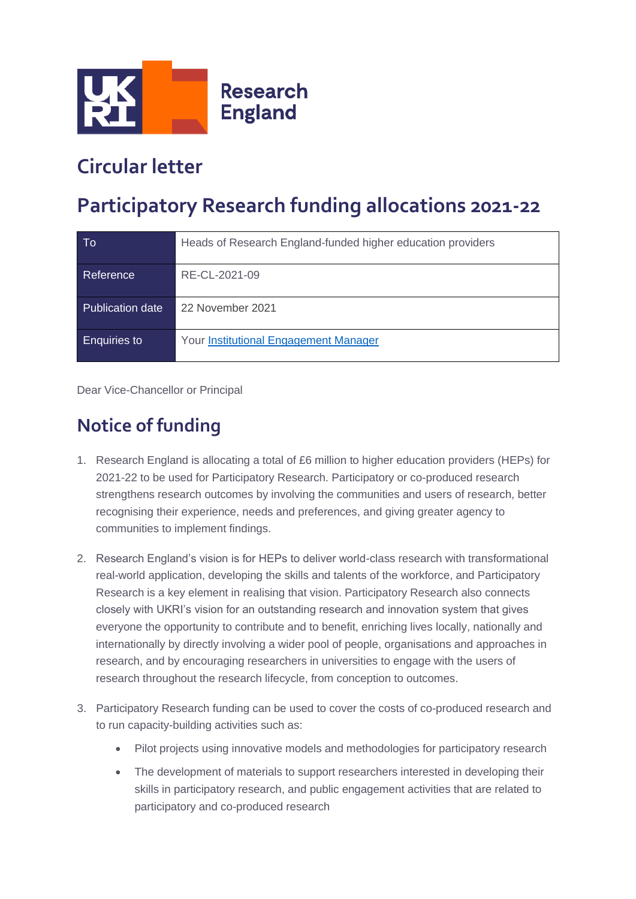

## **Circular letter**

## **Participatory Research funding allocations 2021-22**

| To                  | Heads of Research England-funded higher education providers |
|---------------------|-------------------------------------------------------------|
| Reference           | RE-CL-2021-09                                               |
| Publication date    | 22 November 2021                                            |
| <b>Enquiries to</b> | <b>Your Institutional Engagement Manager</b>                |

Dear Vice-Chancellor or Principal

## **Notice of funding**

- 1. Research England is allocating a total of £6 million to higher education providers (HEPs) for 2021-22 to be used for Participatory Research. Participatory or co-produced research strengthens research outcomes by involving the communities and users of research, better recognising their experience, needs and preferences, and giving greater agency to communities to implement findings.
- 2. Research England's vision is for HEPs to deliver world-class research with transformational real-world application, developing the skills and talents of the workforce, and Participatory Research is a key element in realising that vision. Participatory Research also connects closely with UKRI's vision for an outstanding research and innovation system that gives everyone the opportunity to contribute and to benefit, enriching lives locally, nationally and internationally by directly involving a wider pool of people, organisations and approaches in research, and by encouraging researchers in universities to engage with the users of research throughout the research lifecycle, from conception to outcomes.
- 3. Participatory Research funding can be used to cover the costs of co-produced research and to run capacity-building activities such as:
	- Pilot projects using innovative models and methodologies for participatory research
	- The development of materials to support researchers interested in developing their skills in participatory research, and public engagement activities that are related to participatory and co-produced research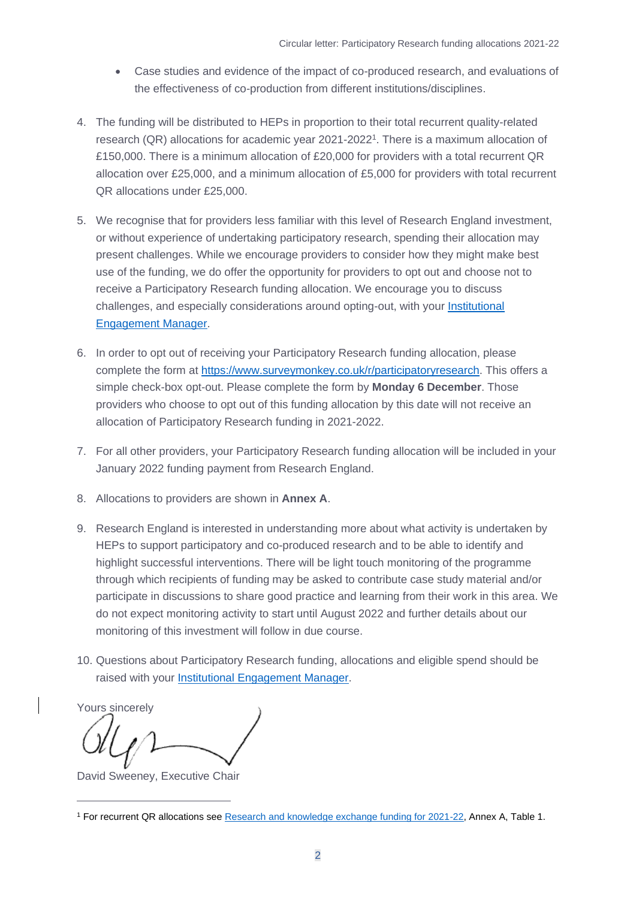- Case studies and evidence of the impact of co-produced research, and evaluations of the effectiveness of co-production from different institutions/disciplines.
- 4. The funding will be distributed to HEPs in proportion to their total recurrent quality-related research (QR) allocations for academic year 2021-2022<sup>1</sup>. There is a maximum allocation of £150,000. There is a minimum allocation of £20,000 for providers with a total recurrent QR allocation over £25,000, and a minimum allocation of £5,000 for providers with total recurrent QR allocations under £25,000.
- 5. We recognise that for providers less familiar with this level of Research England investment, or without experience of undertaking participatory research, spending their allocation may present challenges. While we encourage providers to consider how they might make best use of the funding, we do offer the opportunity for providers to opt out and choose not to receive a Participatory Research funding allocation. We encourage you to discuss challenges, and especially considerations around opting-out, with your [Institutional](https://re.ukri.org/about-us/institutional-engagement/#findmanager)  [Engagement Manager.](https://re.ukri.org/about-us/institutional-engagement/#findmanager)
- 6. In order to opt out of receiving your Participatory Research funding allocation, please complete the form at [https://www.surveymonkey.co.uk/r/participatoryresearch.](https://www.surveymonkey.co.uk/r/participatoryresearch) This offers a simple check-box opt-out. Please complete the form by **Monday 6 December**. Those providers who choose to opt out of this funding allocation by this date will not receive an allocation of Participatory Research funding in 2021-2022.
- 7. For all other providers, your Participatory Research funding allocation will be included in your January 2022 funding payment from Research England.
- 8. Allocations to providers are shown in **Annex A**.
- 9. Research England is interested in understanding more about what activity is undertaken by HEPs to support participatory and co-produced research and to be able to identify and highlight successful interventions. There will be light touch monitoring of the programme through which recipients of funding may be asked to contribute case study material and/or participate in discussions to share good practice and learning from their work in this area. We do not expect monitoring activity to start until August 2022 and further details about our monitoring of this investment will follow in due course.
- 10. Questions about Participatory Research funding, allocations and eligible spend should be raised with your [Institutional Engagement Manager.](https://re.ukri.org/about-us/institutional-engagement/#findmanager)

Yours sincerely

David Sweeney, Executive Chair

<sup>&</sup>lt;sup>1</sup> For recurrent QR allocations see [Research and knowledge exchange funding for 2021-22,](https://www.ukri.org/publications/research-england-funding-allocations-2021-to-2022/) Annex A, Table 1.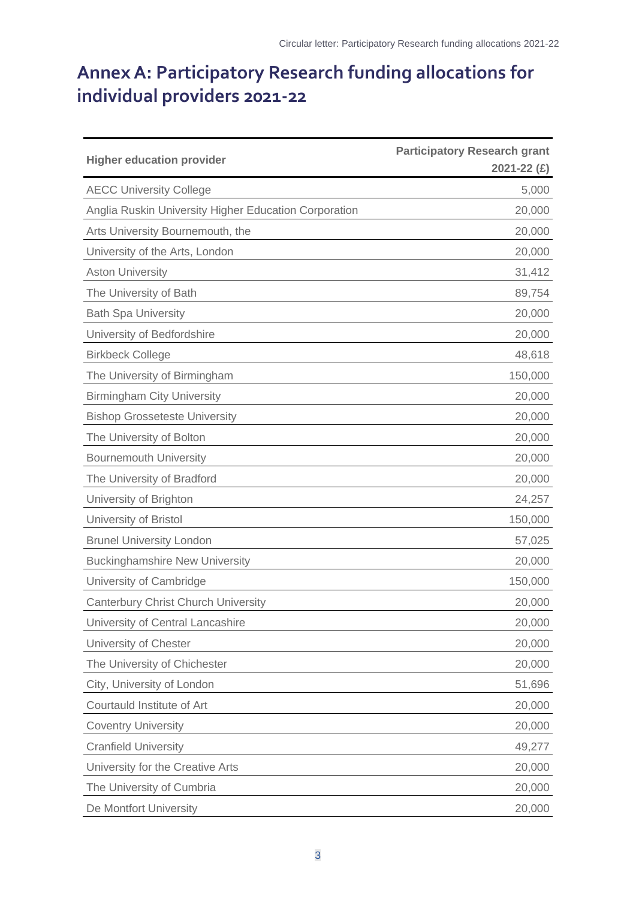## **Annex A: Participatory Research funding allocations for individual providers 2021-22**

| <b>Higher education provider</b>                      | <b>Participatory Research grant</b><br>2021-22 $(E)$ |
|-------------------------------------------------------|------------------------------------------------------|
| <b>AECC University College</b>                        | 5,000                                                |
| Anglia Ruskin University Higher Education Corporation | 20,000                                               |
| Arts University Bournemouth, the                      | 20,000                                               |
| University of the Arts, London                        | 20,000                                               |
| <b>Aston University</b>                               | 31,412                                               |
| The University of Bath                                | 89,754                                               |
| <b>Bath Spa University</b>                            | 20,000                                               |
| University of Bedfordshire                            | 20,000                                               |
| <b>Birkbeck College</b>                               | 48,618                                               |
| The University of Birmingham                          | 150,000                                              |
| <b>Birmingham City University</b>                     | 20,000                                               |
| <b>Bishop Grosseteste University</b>                  | 20,000                                               |
| The University of Bolton                              | 20,000                                               |
| <b>Bournemouth University</b>                         | 20,000                                               |
| The University of Bradford                            | 20,000                                               |
| University of Brighton                                | 24,257                                               |
| University of Bristol                                 | 150,000                                              |
| <b>Brunel University London</b>                       | 57,025                                               |
| <b>Buckinghamshire New University</b>                 | 20,000                                               |
| University of Cambridge                               | 150,000                                              |
| <b>Canterbury Christ Church University</b>            | 20,000                                               |
| University of Central Lancashire                      | 20,000                                               |
| University of Chester                                 | 20,000                                               |
| The University of Chichester                          | 20,000                                               |
| City, University of London                            | 51,696                                               |
| Courtauld Institute of Art                            | 20,000                                               |
| <b>Coventry University</b>                            | 20,000                                               |
| <b>Cranfield University</b>                           | 49,277                                               |
| University for the Creative Arts                      | 20,000                                               |
| The University of Cumbria                             | 20,000                                               |
| De Montfort University                                | 20,000                                               |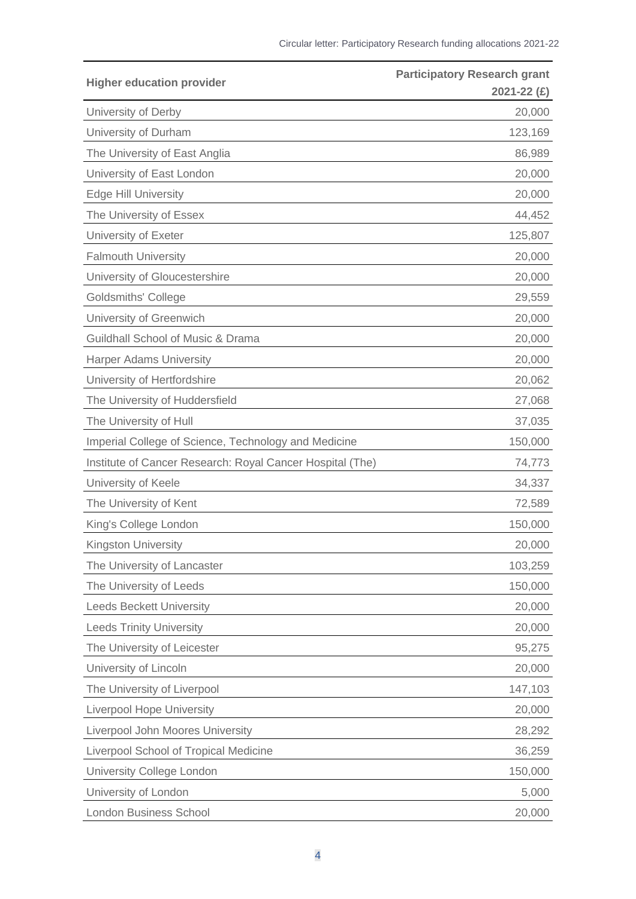| <b>Higher education provider</b>                          | <b>Participatory Research grant</b><br>2021-22 (£) |
|-----------------------------------------------------------|----------------------------------------------------|
| University of Derby                                       | 20,000                                             |
| University of Durham                                      | 123,169                                            |
| The University of East Anglia                             | 86,989                                             |
| University of East London                                 | 20,000                                             |
| <b>Edge Hill University</b>                               | 20,000                                             |
| The University of Essex                                   | 44,452                                             |
| University of Exeter                                      | 125,807                                            |
| <b>Falmouth University</b>                                | 20,000                                             |
| University of Gloucestershire                             | 20,000                                             |
| <b>Goldsmiths' College</b>                                | 29,559                                             |
| University of Greenwich                                   | 20,000                                             |
| Guildhall School of Music & Drama                         | 20,000                                             |
| <b>Harper Adams University</b>                            | 20,000                                             |
| University of Hertfordshire                               | 20,062                                             |
| The University of Huddersfield                            | 27,068                                             |
| The University of Hull                                    | 37,035                                             |
| Imperial College of Science, Technology and Medicine      | 150,000                                            |
| Institute of Cancer Research: Royal Cancer Hospital (The) | 74,773                                             |
| University of Keele                                       | 34,337                                             |
| The University of Kent                                    | 72,589                                             |
| King's College London                                     | 150,000                                            |
| Kingston University                                       | 20,000                                             |
| The University of Lancaster                               | 103,259                                            |
| The University of Leeds                                   | 150,000                                            |
| <b>Leeds Beckett University</b>                           | 20,000                                             |
| <b>Leeds Trinity University</b>                           | 20,000                                             |
| The University of Leicester                               | 95,275                                             |
| University of Lincoln                                     | 20,000                                             |
| The University of Liverpool                               | 147,103                                            |
| <b>Liverpool Hope University</b>                          | 20,000                                             |
| Liverpool John Moores University                          | 28,292                                             |
| Liverpool School of Tropical Medicine                     | 36,259                                             |
| University College London                                 | 150,000                                            |
| University of London                                      | 5,000                                              |
| <b>London Business School</b>                             | 20,000                                             |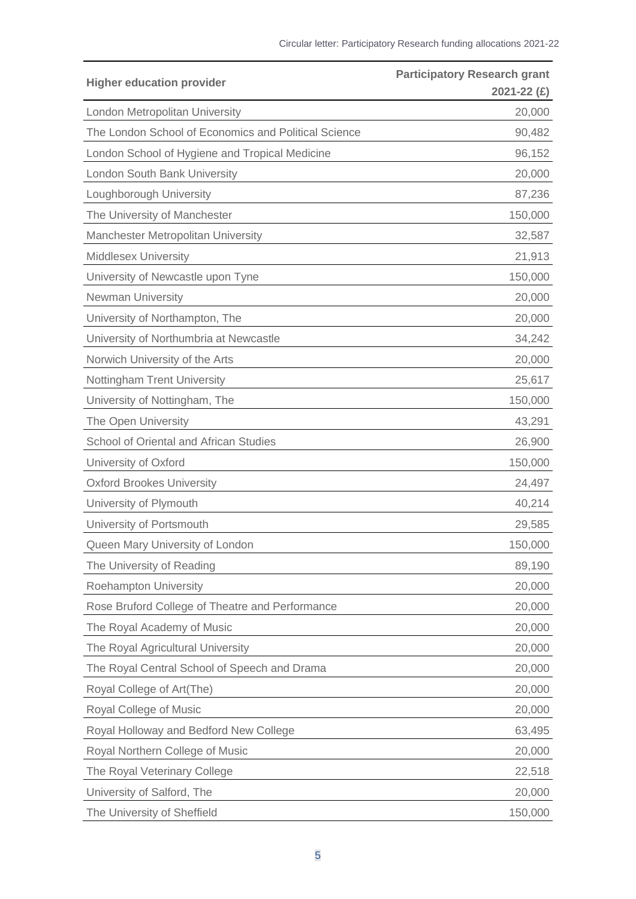| <b>Higher education provider</b>                     | <b>Participatory Research grant</b><br>$2021 - 22$ (£) |
|------------------------------------------------------|--------------------------------------------------------|
| London Metropolitan University                       | 20,000                                                 |
| The London School of Economics and Political Science | 90,482                                                 |
| London School of Hygiene and Tropical Medicine       | 96,152                                                 |
| <b>London South Bank University</b>                  | 20,000                                                 |
| Loughborough University                              | 87,236                                                 |
| The University of Manchester                         | 150,000                                                |
| Manchester Metropolitan University                   | 32,587                                                 |
| <b>Middlesex University</b>                          | 21,913                                                 |
| University of Newcastle upon Tyne                    | 150,000                                                |
| <b>Newman University</b>                             | 20,000                                                 |
| University of Northampton, The                       | 20,000                                                 |
| University of Northumbria at Newcastle               | 34,242                                                 |
| Norwich University of the Arts                       | 20,000                                                 |
| <b>Nottingham Trent University</b>                   | 25,617                                                 |
| University of Nottingham, The                        | 150,000                                                |
| The Open University                                  | 43,291                                                 |
| School of Oriental and African Studies               | 26,900                                                 |
| University of Oxford                                 | 150,000                                                |
| <b>Oxford Brookes University</b>                     | 24,497                                                 |
| University of Plymouth                               | 40,214                                                 |
| University of Portsmouth                             | 29,585                                                 |
| Queen Mary University of London                      | 150,000                                                |
| The University of Reading                            | 89,190                                                 |
| <b>Roehampton University</b>                         | 20,000                                                 |
| Rose Bruford College of Theatre and Performance      | 20,000                                                 |
| The Royal Academy of Music                           | 20,000                                                 |
| The Royal Agricultural University                    | 20,000                                                 |
| The Royal Central School of Speech and Drama         | 20,000                                                 |
| Royal College of Art(The)                            | 20,000                                                 |
| Royal College of Music                               | 20,000                                                 |
| Royal Holloway and Bedford New College               | 63,495                                                 |
| Royal Northern College of Music                      | 20,000                                                 |
| The Royal Veterinary College                         | 22,518                                                 |
| University of Salford, The                           | 20,000                                                 |
| The University of Sheffield                          | 150,000                                                |